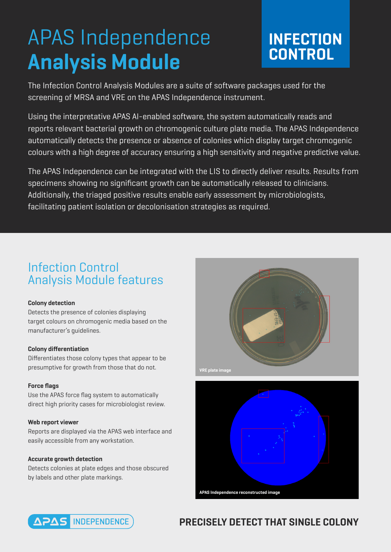# APAS Independence **Analysis Module**

# **INFECTION CONTROL**

The Infection Control Analysis Modules are a suite of software packages used for the screening of MRSA and VRE on the APAS Independence instrument.

Using the interpretative APAS AI-enabled software, the system automatically reads and reports relevant bacterial growth on chromogenic culture plate media. The APAS Independence automatically detects the presence or absence of colonies which display target chromogenic colours with a high degree of accuracy ensuring a high sensitivity and negative predictive value.

The APAS Independence can be integrated with the LIS to directly deliver results. Results from specimens showing no significant growth can be automatically released to clinicians. Additionally, the triaged positive results enable early assessment by microbiologists, facilitating patient isolation or decolonisation strategies as required.

## Infection Control Analysis Module features

#### **Colony detection**

Detects the presence of colonies displaying target colours on chromogenic media based on the manufacturer's guidelines.

#### **Colony differentiation**

Differentiates those colony types that appear to be presumptive for growth from those that do not.

#### **Force flags**

Use the APAS force flag system to automatically direct high priority cases for microbiologist review.

#### **Web report viewer**

Reports are displayed via the APAS web interface and easily accessible from any workstation.

#### **Accurate growth detection**

Detects colonies at plate edges and those obscured by labels and other plate markings.







### **PRECISELY DETECT THAT SINGLE COLONY**